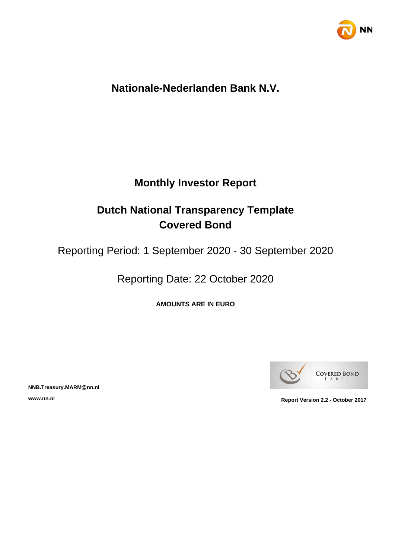

# **Nationale-Nederlanden Bank N.V.**

# **Monthly Investor Report**

# **Dutch National Transparency Template Covered Bond**

Reporting Period: 1 September 2020 - 30 September 2020

Reporting Date: 22 October 2020

**AMOUNTS ARE IN EURO**



**NNB.Treasury.MARM@nn.nl**

**www.nn.nl Report Version 2.2 - October 2017**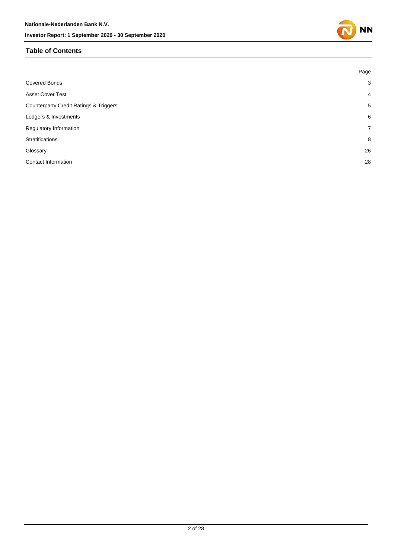# **Table of Contents**

|                                                   | Page           |
|---------------------------------------------------|----------------|
| <b>Covered Bonds</b>                              | 3              |
| <b>Asset Cover Test</b>                           | $\overline{4}$ |
| <b>Counterparty Credit Ratings &amp; Triggers</b> | 5              |
| Ledgers & Investments                             | 6              |
| Regulatory Information                            | $\overline{7}$ |
| Stratifications                                   | 8              |
| Glossary                                          | 26             |
| <b>Contact Information</b>                        | 28             |
|                                                   |                |

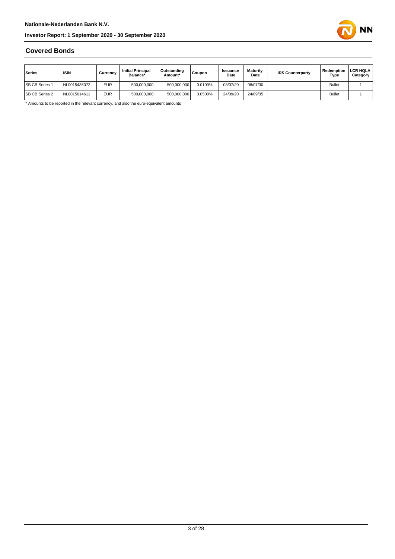

# **Covered Bonds**

| Series                | <b>ISIN</b>  | Currencv   | <b>Initial Principal</b><br>Balance* | Outstanding<br>Amount* | <b>Coupon</b> | <b>Issuance</b><br>Date | <b>Maturity</b><br>Date | <b>IRS Counterparty</b> | Redemption<br>Type | <b>LCR HQLA</b><br>Category |
|-----------------------|--------------|------------|--------------------------------------|------------------------|---------------|-------------------------|-------------------------|-------------------------|--------------------|-----------------------------|
| <b>SB CB Series 1</b> | VL0015436072 | <b>EUR</b> | 500,000,000                          | 500.000.000            | 0.0100%       | 08/07/20                | 08/07/30                |                         | <b>Bullet</b>      |                             |
| <b>SB CB Series 2</b> | VL0015614611 | <b>EUR</b> | 500,000,000                          | 500.000.000            | 0.0500%       | 24/09/20                | 24/09/35                |                         | <b>Bullet</b>      |                             |

\* Amounts to be reported in the relevant currency, and also the euro-equivalent amounts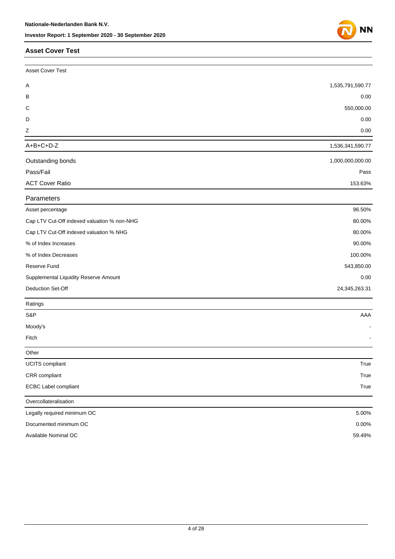### **Asset Cover Test**

| <b>Asset Cover Test</b>                     |                  |
|---------------------------------------------|------------------|
| A                                           | 1,535,791,590.77 |
| в                                           | 0.00             |
| С                                           | 550,000.00       |
| D                                           | 0.00             |
| Z                                           | 0.00             |
| $A+B+C+D-Z$                                 | 1,536,341,590.77 |
| Outstanding bonds                           | 1,000,000,000.00 |
| Pass/Fail                                   | Pass             |
| <b>ACT Cover Ratio</b>                      | 153.63%          |
| Parameters                                  |                  |
| Asset percentage                            | 96.50%           |
| Cap LTV Cut-Off indexed valuation % non-NHG | 80.00%           |
| Cap LTV Cut-Off indexed valuation % NHG     | 80.00%           |
| % of Index Increases                        | 90.00%           |
| % of Index Decreases                        | 100.00%          |
| Reserve Fund                                | 543,850.00       |
| Supplemental Liquidity Reserve Amount       | 0.00             |
| Deduction Set-Off                           | 24,345,263.31    |
| Ratings                                     |                  |
| S&P                                         | AAA              |
| Moody's                                     |                  |
| Fitch                                       |                  |
| Other                                       |                  |
| <b>UCITS</b> compliant                      | True             |
| CRR compliant                               | True             |
| <b>ECBC Label compliant</b>                 | True             |
| Overcollateralisation                       |                  |
| Legally required minimum OC                 | 5.00%            |
| Documented minimum OC                       | 0.00%            |
| Available Nominal OC                        | 59.49%           |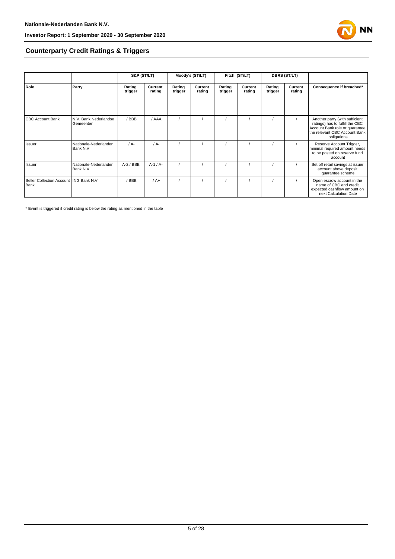

# **Counterparty Credit Ratings & Triggers**

|                                                   |                                    | S&P (ST/LT)       |                   | Moody's (ST/LT)   |                   | Fitch (ST/LT)     |                   | <b>DBRS (ST/LT)</b> |                   |                                                                                                                                                     |  |
|---------------------------------------------------|------------------------------------|-------------------|-------------------|-------------------|-------------------|-------------------|-------------------|---------------------|-------------------|-----------------------------------------------------------------------------------------------------------------------------------------------------|--|
| Role                                              | Party                              | Rating<br>trigger | Current<br>rating | Rating<br>trigger | Current<br>rating | Rating<br>trigger | Current<br>rating | Rating<br>trigger   | Current<br>rating | Consequence if breached*                                                                                                                            |  |
| <b>CBC Account Bank</b>                           | N.V. Bank Nederlandse<br>Gemeenten | / BBB             | / AAA             |                   |                   |                   |                   |                     |                   | Another party (with sufficient<br>ratings) has to fulfill the CBC<br>Account Bank role or quarantee<br>the relevant CBC Account Bank<br>obligations |  |
| Issuer                                            | Nationale-Nederlanden<br>Bank N.V. | $/A$ -            | $/A$ -            |                   |                   |                   |                   |                     |                   | Reserve Account Trigger,<br>minimal required amount needs<br>to be posted on reserve fund<br>account                                                |  |
| Issuer                                            | Nationale-Nederlanden<br>Bank N.V. | $A-2$ / BBB       | $A-1/A-$          |                   |                   |                   |                   |                     |                   | Set off retail savings at issuer<br>account above deposit<br>guarantee scheme                                                                       |  |
| Seller Collection Account   ING Bank N.V.<br>Bank |                                    | BBB               | $/A+$             |                   |                   |                   |                   |                     |                   | Open escrow account in the<br>name of CBC and credit<br>expected cashflow amount on<br>next Calculation Date                                        |  |

\* Event is triggered if credit rating is below the rating as mentioned in the table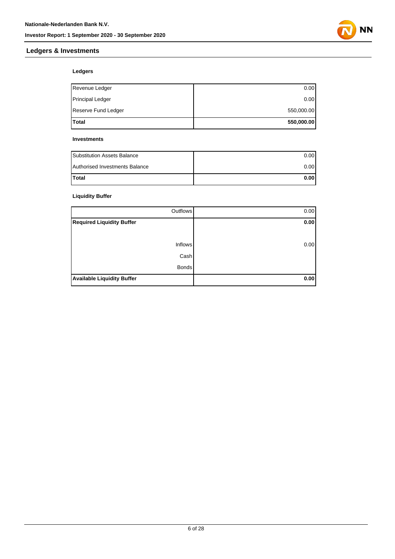

# **Ledgers & Investments**

# **Ledgers**

| Total                   | 550,000.00 |
|-------------------------|------------|
| Reserve Fund Ledger     | 550,000.00 |
| <b>Principal Ledger</b> | 0.00       |
| Revenue Ledger          | 0.00       |

#### **Investments**

| <b>Substitution Assets Balance</b> | 0.001 |
|------------------------------------|-------|
| Authorised Investments Balance     | 0.001 |
| <b>Total</b>                       | 0.001 |

# **Liquidity Buffer**

| Outflows                          | 0.00 |
|-----------------------------------|------|
| <b>Required Liquidity Buffer</b>  | 0.00 |
|                                   |      |
| <b>Inflows</b>                    | 0.00 |
| Cash                              |      |
| <b>Bonds</b>                      |      |
| <b>Available Liquidity Buffer</b> | 0.00 |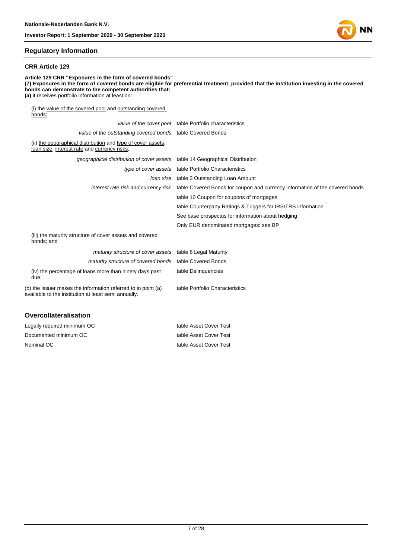

#### **Regulatory Information**

#### **CRR Article 129**

**Article 129 CRR "Exposures in the form of covered bonds" (7) Exposures in the form of covered bonds are eligible for preferential treatment, provided that the institution investing in the covered bonds can demonstrate to the competent authorities that: (a)** it receives portfolio information at least on: (i) the value of the covered pool and outstanding covered bonds; value of the cover pool table Portfolio characteristics value of the outstanding covered bonds table Covered Bonds (ii) the geographical distribution and type of cover assets, loan size, interest rate and currency risks; geographical distribution of cover assets table 14 Geographical Distribution type of cover assets table Portfolio Characteristics loan size table 3 Outstanding Loan Amount interest rate risk and currency risk table Covered Bonds for coupon and currency information of the covered bonds table 10 Coupon for coupons of mortgages table Counterparty Ratings & Triggers for IRS/TRS information See base prospectus for information about hedging Only EUR denominated mortgages: see BP (iii) the maturity structure of cover assets and covered bonds; and maturity structure of cover assets table 6 Legal Maturity maturity structure of covered bonds table Covered Bonds

table Delinquencies

table Portfolio Characteristics

(iv) the percentage of loans more than ninety days past due;

(b) the issuer makes the information referred to in point (a) available to the institution at least semi annually.

#### **Overcollateralisation**

| Legally required minimum OC | table Asset Cover Test |
|-----------------------------|------------------------|
| Documented minimum OC       | table Asset Cover Test |
| Nominal OC                  | table Asset Cover Test |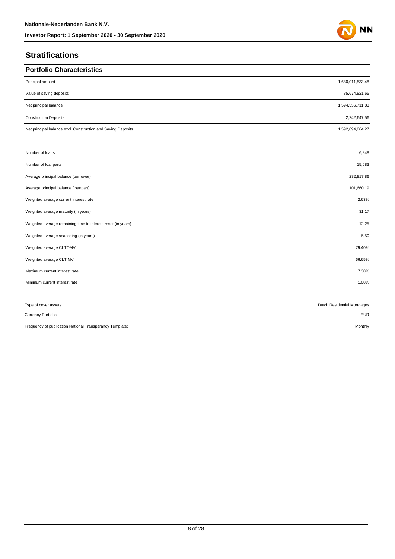# **Stratifications**

| <b>Portfolio Characteristics</b>                             |                             |
|--------------------------------------------------------------|-----------------------------|
| Principal amount                                             | 1,680,011,533.48            |
| Value of saving deposits                                     | 85,674,821.65               |
| Net principal balance                                        | 1,594,336,711.83            |
| <b>Construction Deposits</b>                                 | 2,242,647.56                |
| Net principal balance excl. Construction and Saving Deposits | 1,592,094,064.27            |
|                                                              |                             |
| Number of loans                                              | 6,848                       |
| Number of loanparts                                          | 15,683                      |
| Average principal balance (borrower)                         | 232,817.86                  |
| Average principal balance (loanpart)                         | 101,660.19                  |
| Weighted average current interest rate                       | 2.63%                       |
| Weighted average maturity (in years)                         | 31.17                       |
| Weighted average remaining time to interest reset (in years) | 12.25                       |
| Weighted average seasoning (in years)                        | 5.50                        |
| Weighted average CLTOMV                                      | 79.40%                      |
| Weighted average CLTIMV                                      | 66.65%                      |
| Maximum current interest rate                                | 7.30%                       |
| Minimum current interest rate                                | 1.08%                       |
|                                                              |                             |
| Type of cover assets:                                        | Dutch Residential Mortgages |
| Currency Portfolio:                                          | <b>EUR</b>                  |
| Frequency of publication National Transparancy Template:     | Monthly                     |

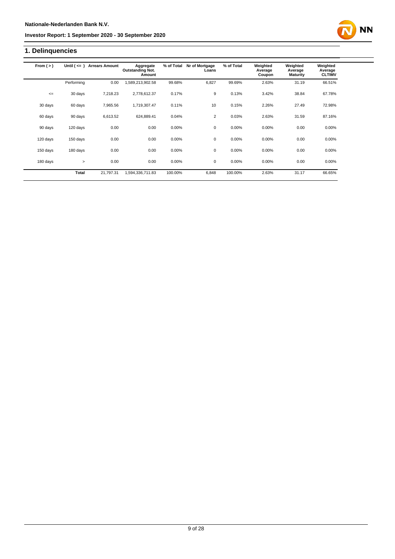# **1. Delinquencies**

| From $(>)$ | Until $($ <= $)$ | <b>Arrears Amount</b> | Aggregate<br><b>Outstanding Not.</b><br>Amount | % of Total | Nr of Mortgage<br>Loans | % of Total | Weighted<br>Average<br>Coupon | Weighted<br>Average<br><b>Maturity</b> | Weighted<br>Average<br><b>CLTIMV</b> |
|------------|------------------|-----------------------|------------------------------------------------|------------|-------------------------|------------|-------------------------------|----------------------------------------|--------------------------------------|
|            | Performing       | 0.00                  | 1,589,213,902.58                               | 99.68%     | 6,827                   | 99.69%     | 2.63%                         | 31.19                                  | 66.51%                               |
| $\leq$     | 30 days          | 7.218.23              | 2,778,612.37                                   | 0.17%      | 9                       | 0.13%      | 3.42%                         | 38.84                                  | 67.78%                               |
| 30 days    | 60 days          | 7,965.56              | 1,719,307.47                                   | 0.11%      | 10                      | 0.15%      | 2.26%                         | 27.49                                  | 72.98%                               |
| 60 days    | 90 days          | 6,613.52              | 624,889.41                                     | 0.04%      | $\overline{2}$          | 0.03%      | 2.63%                         | 31.59                                  | 87.16%                               |
| 90 days    | 120 days         | 0.00                  | 0.00                                           | 0.00%      | $\mathbf 0$             | 0.00%      | 0.00%                         | 0.00                                   | 0.00%                                |
| 120 days   | 150 days         | 0.00                  | 0.00                                           | 0.00%      | 0                       | 0.00%      | 0.00%                         | 0.00                                   | $0.00\%$                             |
| 150 days   | 180 days         | 0.00                  | 0.00                                           | 0.00%      | 0                       | 0.00%      | 0.00%                         | 0.00                                   | 0.00%                                |
| 180 days   | $\geq$           | 0.00                  | 0.00                                           | 0.00%      | 0                       | 0.00%      | $0.00\%$                      | 0.00                                   | $0.00\%$                             |
|            | Total            | 21,797.31             | 1,594,336,711.83                               | 100.00%    | 6,848                   | 100.00%    | 2.63%                         | 31.17                                  | 66.65%                               |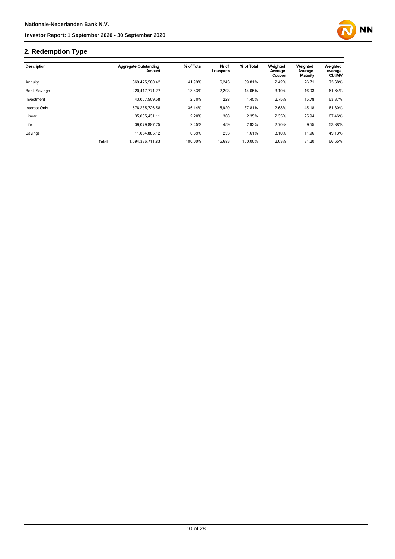

# **2. Redemption Type**

| Description         |              | <b>Aggregate Outstanding</b><br><b>Amount</b> | % of Total | Nr of<br>Loanparts | % of Total | Weighted<br>Average<br>Coupon | Weighted<br>Average<br>Maturity | Weighted<br>average<br><b>CLtIMV</b> |
|---------------------|--------------|-----------------------------------------------|------------|--------------------|------------|-------------------------------|---------------------------------|--------------------------------------|
| Annuity             |              | 669.475.500.42                                | 41.99%     | 6,243              | 39.81%     | 2.42%                         | 26.71                           | 73.68%                               |
| <b>Bank Savings</b> |              | 220.417.771.27                                | 13.83%     | 2,203              | 14.05%     | 3.10%                         | 16.93                           | 61.64%                               |
| Investment          |              | 43.007.509.58                                 | 2.70%      | 228                | 1.45%      | 2.75%                         | 15.78                           | 63.37%                               |
| Interest Only       |              | 576.235.726.58                                | 36.14%     | 5,929              | 37.81%     | 2.68%                         | 45.18                           | 61.80%                               |
| Linear              |              | 35.065.431.11                                 | 2.20%      | 368                | 2.35%      | 2.35%                         | 25.94                           | 67.46%                               |
| Life                |              | 39.079.887.75                                 | 2.45%      | 459                | 2.93%      | 2.70%                         | 9.55                            | 53.88%                               |
| Savings             |              | 11.054.885.12                                 | 0.69%      | 253                | 1.61%      | 3.10%                         | 11.96                           | 49.13%                               |
|                     | <b>Total</b> | 1.594.336.711.83                              | 100.00%    | 15,683             | 100.00%    | 2.63%                         | 31.20                           | 66.65%                               |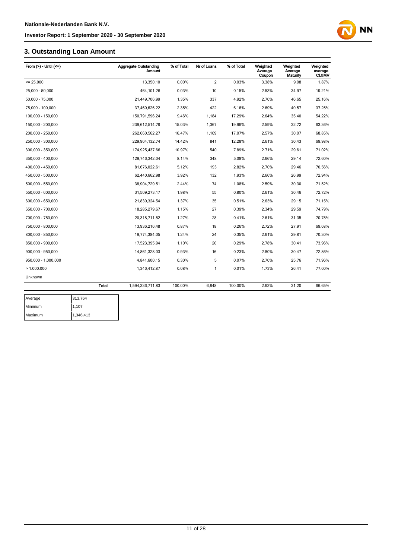# **3. Outstanding Loan Amount**

| From $(>)$ - Until $(<=)$ |              | Aggregate Outstanding<br>Amount | % of Total | Nr of Loans    | % of Total | Weighted<br>Average<br>Coupon | Weighted<br>Average<br><b>Maturity</b> | Weighted<br>average<br><b>CLtIMV</b> |
|---------------------------|--------------|---------------------------------|------------|----------------|------------|-------------------------------|----------------------------------------|--------------------------------------|
| $= 25.000$                |              | 13.350.10                       | 0.00%      | $\overline{2}$ | 0.03%      | 3.38%                         | 9.08                                   | 1.87%                                |
| 25,000 - 50,000           |              | 464,101.26                      | 0.03%      | 10             | 0.15%      | 2.53%                         | 34.97                                  | 19.21%                               |
| 50,000 - 75,000           |              | 21,449,706.99                   | 1.35%      | 337            | 4.92%      | 2.70%                         | 46.65                                  | 25.16%                               |
| 75,000 - 100,000          |              | 37,460,626.22                   | 2.35%      | 422            | 6.16%      | 2.69%                         | 40.57                                  | 37.25%                               |
| 100,000 - 150,000         |              | 150,791,596.24                  | 9.46%      | 1,184          | 17.29%     | 2.64%                         | 35.40                                  | 54.22%                               |
| 150,000 - 200,000         |              | 239,612,514.79                  | 15.03%     | 1,367          | 19.96%     | 2.59%                         | 32.72                                  | 63.36%                               |
| 200,000 - 250,000         |              | 262,660,562.27                  | 16.47%     | 1,169          | 17.07%     | 2.57%                         | 30.07                                  | 68.85%                               |
| 250,000 - 300,000         |              | 229,964,132.74                  | 14.42%     | 841            | 12.28%     | 2.61%                         | 30.43                                  | 69.98%                               |
| 300,000 - 350,000         |              | 174,925,437.66                  | 10.97%     | 540            | 7.89%      | 2.71%                         | 29.61                                  | 71.02%                               |
| 350,000 - 400,000         |              | 129,746,342.04                  | 8.14%      | 348            | 5.08%      | 2.66%                         | 29.14                                  | 72.60%                               |
| 400,000 - 450,000         |              | 81,676,022.61                   | 5.12%      | 193            | 2.82%      | 2.70%                         | 29.46                                  | 70.56%                               |
| 450,000 - 500,000         |              | 62,440,662.98                   | 3.92%      | 132            | 1.93%      | 2.66%                         | 26.99                                  | 72.94%                               |
| 500,000 - 550,000         |              | 38,904,729.51                   | 2.44%      | 74             | 1.08%      | 2.59%                         | 30.30                                  | 71.52%                               |
| 550,000 - 600,000         |              | 31,509,273.17                   | 1.98%      | 55             | 0.80%      | 2.61%                         | 30.46                                  | 72.72%                               |
| 600,000 - 650,000         |              | 21,830,324.54                   | 1.37%      | 35             | 0.51%      | 2.63%                         | 29.15                                  | 71.15%                               |
| 650,000 - 700,000         |              | 18,285,279.67                   | 1.15%      | 27             | 0.39%      | 2.34%                         | 29.59                                  | 74.79%                               |
| 700,000 - 750,000         |              | 20,318,711.52                   | 1.27%      | 28             | 0.41%      | 2.61%                         | 31.35                                  | 70.75%                               |
| 750,000 - 800,000         |              | 13,936,216.48                   | 0.87%      | 18             | 0.26%      | 2.72%                         | 27.91                                  | 69.68%                               |
| 800,000 - 850,000         |              | 19,774,384.05                   | 1.24%      | 24             | 0.35%      | 2.61%                         | 29.81                                  | 70.30%                               |
| 850,000 - 900,000         |              | 17,523,395.94                   | 1.10%      | 20             | 0.29%      | 2.78%                         | 30.41                                  | 73.96%                               |
| 900,000 - 950,000         |              | 14,861,328.03                   | 0.93%      | 16             | 0.23%      | 2.80%                         | 30.47                                  | 72.86%                               |
| 950,000 - 1,000,000       |              | 4,841,600.15                    | 0.30%      | 5              | 0.07%      | 2.70%                         | 25.76                                  | 71.96%                               |
| >1.000.000                |              | 1,346,412.87                    | 0.08%      | 1              | 0.01%      | 1.73%                         | 26.41                                  | 77.60%                               |
| Unknown                   |              |                                 |            |                |            |                               |                                        |                                      |
|                           | <b>Total</b> | 1,594,336,711.83                | 100.00%    | 6,848          | 100.00%    | 2.63%                         | 31.20                                  | 66.65%                               |

| Average        | 313,764   |
|----------------|-----------|
| <b>Minimum</b> | 1,107     |
| Maximum        | 1,346,413 |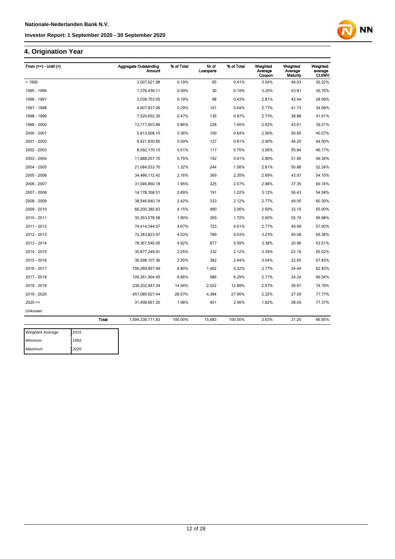# **4. Origination Year**

| From $(>=)$ - Until $($ |              | <b>Aggregate Outstanding</b><br><b>Amount</b> | % of Total | Nr of<br>Loanparts | % of Total | Weighted<br>Average<br>Coupon | Weighted<br>Average<br>Maturity | Weighted<br>average<br><b>CLtIMV</b> |
|-------------------------|--------------|-----------------------------------------------|------------|--------------------|------------|-------------------------------|---------------------------------|--------------------------------------|
| < 1995                  |              | 3,007,621.98                                  | 0.19%      | 65                 | 0.41%      | 3.04%                         | 49.03                           | 30.22%                               |
| 1995 - 1996             |              | 1,376,436.11                                  | 0.09%      | 30                 | 0.19%      | 3.25%                         | 53.81                           | 30.75%                               |
| 1996 - 1997             |              | 3,039,753.05                                  | 0.19%      | 68                 | 0.43%      | 2.81%                         | 42.44                           | 28.09%                               |
| 1997 - 1998             |              | 4,607,837.06                                  | 0.29%      | 101                | 0.64%      | 2.77%                         | 41.73                           | 34.59%                               |
| 1998 - 1999             |              | 7,520,652.30                                  | 0.47%      | 136                | 0.87%      | 2.73%                         | 38.88                           | 41.61%                               |
| 1999 - 2000             |              | 13,717,003.89                                 | 0.86%      | 228                | 1.45%      | 2.62%                         | 43.61                           | 39.21%                               |
| 2000 - 2001             |              | 5,813,608.10                                  | 0.36%      | 100                | 0.64%      | 2.56%                         | 50.85                           | 40.07%                               |
| 2001 - 2002             |              | 9,421,830.80                                  | 0.59%      | 127                | 0.81%      | 2.90%                         | 48.20                           | 44.50%                               |
| 2002 - 2003             |              | 8,092,170.10                                  | 0.51%      | 117                | 0.75%      | 3.06%                         | 55.84                           | 46.17%                               |
| 2003 - 2004             |              | 11,888,257.70                                 | 0.75%      | 142                | 0.91%      | 2.80%                         | 51.90                           | 49.34%                               |
| 2004 - 2005             |              | 21,084,533.70                                 | 1.32%      | 244                | 1.56%      | 2.81%                         | 50.88                           | 52.24%                               |
| 2005 - 2006             |              | 34,486,112.42                                 | 2.16%      | 369                | 2.35%      | 2.69%                         | 43.97                           | 54.15%                               |
| 2006 - 2007             |              | 31,046,860.18                                 | 1.95%      | 325                | 2.07%      | 2.88%                         | 37.35                           | 60.74%                               |
| 2007 - 2008             |              | 14, 178, 358.51                               | 0.89%      | 191                | 1.22%      | 3.12%                         | 56.43                           | 54.58%                               |
| 2008 - 2009             |              | 38,546,640.74                                 | 2.42%      | 333                | 2.12%      | 2.77%                         | 49.05                           | 60.30%                               |
| 2009 - 2010             |              | 66,200,385.83                                 | 4.15%      | 480                | 3.06%      | 2.69%                         | 33.15                           | 65.00%                               |
| 2010 - 2011             |              | 30, 353, 578.58                               | 1.90%      | 269                | 1.72%      | 2.60%                         | 55.74                           | 56.98%                               |
| 2011 - 2012             |              | 74,414,344.57                                 | 4.67%      | 723                | 4.61%      | 2.77%                         | 49.49                           | 57.00%                               |
| 2012 - 2013             |              | 72,283,823.97                                 | 4.53%      | 789                | 5.03%      | 3.23%                         | 40.08                           | 56.36%                               |
| 2013 - 2014             |              | 78,367,546.05                                 | 4.92%      | 877                | 5.59%      | 3.38%                         | 20.96                           | 53.51%                               |
| 2014 - 2015             |              | 35,877,249.91                                 | 2.25%      | 332                | 2.12%      | 3.34%                         | 22.19                           | 55.02%                               |
| 2015 - 2016             |              | 36,598,107.36                                 | 2.30%      | 382                | 2.44%      | 3.04%                         | 22.65                           | 57.83%                               |
| 2016 - 2017             |              | 156,269,857.99                                | 9.80%      | 1,462              | 9.32%      | 2.77%                         | 24.44                           | 62.83%                               |
| 2017 - 2018             |              | 109,361,904.95                                | 6.86%      | 986                | 6.29%      | 2.71%                         | 24.24                           | 66.04%                               |
| 2018 - 2019             |              | 238,202,947.34                                | 14.94%     | 2,022              | 12.89%     | 2.57%                         | 26.67                           | 74.79%                               |
| 2019 - 2020             |              | 457,080,627.44                                | 28.67%     | 4,384              | 27.95%     | 2.22%                         | 27.59                           | 77.77%                               |
| $2020 =$                |              | 31,498,661.20                                 | 1.98%      | 401                | 2.56%      | 1.82%                         | 28.04                           | 77.37%                               |
| Unknown                 |              |                                               |            |                    |            |                               |                                 |                                      |
|                         | <b>Total</b> | 1,594,336,711.83                              | 100.00%    | 15,683             | 100.00%    | 2.63%                         | 31.20                           | 66.65%                               |
|                         |              |                                               |            |                    |            |                               |                                 |                                      |

| <b>Weighted Average</b> | 2015 |
|-------------------------|------|
| Minimum                 | 1992 |
| Maximum                 | 2020 |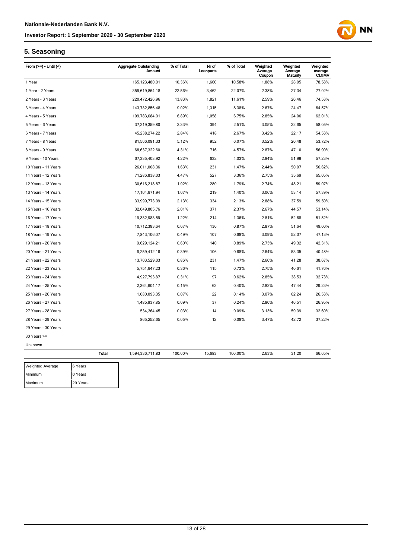

# **5. Seasoning**

| From $(>=)$ - Until $($ |              | <b>Aggregate Outstanding</b><br><b>Amount</b> | % of Total | Nr of<br>Loanparts | % of Total | Weighted<br>Average<br>Coupon | Weighted<br>Average<br>Maturity | Weighted<br>average<br><b>CLtIMV</b> |
|-------------------------|--------------|-----------------------------------------------|------------|--------------------|------------|-------------------------------|---------------------------------|--------------------------------------|
| 1 Year                  |              | 165, 123, 480.01                              | 10.36%     | 1,660              | 10.58%     | 1.88%                         | 28.05                           | 78.58%                               |
| 1 Year - 2 Years        |              | 359,619,864.18                                | 22.56%     | 3,462              | 22.07%     | 2.38%                         | 27.34                           | 77.02%                               |
| 2 Years - 3 Years       |              | 220,472,426.96                                | 13.83%     | 1,821              | 11.61%     | 2.59%                         | 26.46                           | 74.53%                               |
| 3 Years - 4 Years       |              | 143,732,856.48                                | 9.02%      | 1,315              | 8.38%      | 2.67%                         | 24.47                           | 64.57%                               |
| 4 Years - 5 Years       |              | 109,783,084.01                                | 6.89%      | 1,058              | 6.75%      | 2.85%                         | 24.06                           | 62.01%                               |
| 5 Years - 6 Years       |              | 37,219,359.80                                 | 2.33%      | 394                | 2.51%      | 3.05%                         | 22.65                           | 58.05%                               |
| 6 Years - 7 Years       |              | 45,238,274.22                                 | 2.84%      | 418                | 2.67%      | 3.42%                         | 22.17                           | 54.53%                               |
| 7 Years - 8 Years       |              | 81,566,091.33                                 | 5.12%      | 952                | 6.07%      | 3.52%                         | 20.48                           | 53.72%                               |
| 8 Years - 9 Years       |              | 68,637,322.60                                 | 4.31%      | 716                | 4.57%      | 2.87%                         | 47.10                           | 56.90%                               |
| 9 Years - 10 Years      |              | 67,335,403.92                                 | 4.22%      | 632                | 4.03%      | 2.84%                         | 51.99                           | 57.23%                               |
| 10 Years - 11 Years     |              | 26,011,008.36                                 | 1.63%      | 231                | 1.47%      | 2.44%                         | 50.07                           | 56.62%                               |
| 11 Years - 12 Years     |              | 71,286,838.03                                 | 4.47%      | 527                | 3.36%      | 2.75%                         | 35.69                           | 65.05%                               |
| 12 Years - 13 Years     |              | 30,616,218.87                                 | 1.92%      | 280                | 1.79%      | 2.74%                         | 48.21                           | 59.07%                               |
| 13 Years - 14 Years     |              | 17,104,671.94                                 | 1.07%      | 219                | 1.40%      | 3.06%                         | 53.14                           | 57.39%                               |
| 14 Years - 15 Years     |              | 33,999,773.09                                 | 2.13%      | 334                | 2.13%      | 2.88%                         | 37.59                           | 59.50%                               |
| 15 Years - 16 Years     |              | 32,049,805.76                                 | 2.01%      | 371                | 2.37%      | 2.67%                         | 44.57                           | 53.14%                               |
| 16 Years - 17 Years     |              | 19,382,983.59                                 | 1.22%      | 214                | 1.36%      | 2.81%                         | 52.68                           | 51.52%                               |
| 17 Years - 18 Years     |              | 10,712,383.64                                 | 0.67%      | 136                | 0.87%      | 2.87%                         | 51.64                           | 49.60%                               |
| 18 Years - 19 Years     |              | 7,843,106.07                                  | 0.49%      | 107                | 0.68%      | 3.09%                         | 52.07                           | 47.13%                               |
| 19 Years - 20 Years     |              | 9,629,124.21                                  | 0.60%      | 140                | 0.89%      | 2.73%                         | 49.32                           | 42.31%                               |
| 20 Years - 21 Years     |              | 6,259,412.16                                  | 0.39%      | 106                | 0.68%      | 2.64%                         | 53.35                           | 40.48%                               |
| 21 Years - 22 Years     |              | 13,703,529.03                                 | 0.86%      | 231                | 1.47%      | 2.60%                         | 41.28                           | 38.67%                               |
| 22 Years - 23 Years     |              | 5,751,647.23                                  | 0.36%      | 115                | 0.73%      | 2.75%                         | 40.61                           | 41.76%                               |
| 23 Years - 24 Years     |              | 4,927,793.87                                  | 0.31%      | 97                 | 0.62%      | 2.85%                         | 38.53                           | 32.73%                               |
| 24 Years - 25 Years     |              | 2,364,604.17                                  | 0.15%      | 62                 | 0.40%      | 2.82%                         | 47.44                           | 29.23%                               |
| 25 Years - 26 Years     |              | 1,080,093.35                                  | 0.07%      | 22                 | 0.14%      | 3.07%                         | 62.24                           | 26.53%                               |
| 26 Years - 27 Years     |              | 1,485,937.85                                  | 0.09%      | 37                 | 0.24%      | 2.80%                         | 46.51                           | 26.95%                               |
| 27 Years - 28 Years     |              | 534,364.45                                    | 0.03%      | 14                 | 0.09%      | 3.13%                         | 59.39                           | 32.60%                               |
| 28 Years - 29 Years     |              | 865,252.65                                    | 0.05%      | 12                 | 0.08%      | 3.47%                         | 42.72                           | 37.22%                               |
| 29 Years - 30 Years     |              |                                               |            |                    |            |                               |                                 |                                      |
| $30$ Years $>=$         |              |                                               |            |                    |            |                               |                                 |                                      |
| Unknown                 |              |                                               |            |                    |            |                               |                                 |                                      |
|                         | <b>Total</b> | 1,594,336,711.83                              | 100.00%    | 15,683             | 100.00%    | 2.63%                         | 31.20                           | 66.65%                               |
| Weighted Average        | 6 Years      |                                               |            |                    |            |                               |                                 |                                      |
| Minimum                 | 0 Years      |                                               |            |                    |            |                               |                                 |                                      |
| Maximum                 | 29 Years     |                                               |            |                    |            |                               |                                 |                                      |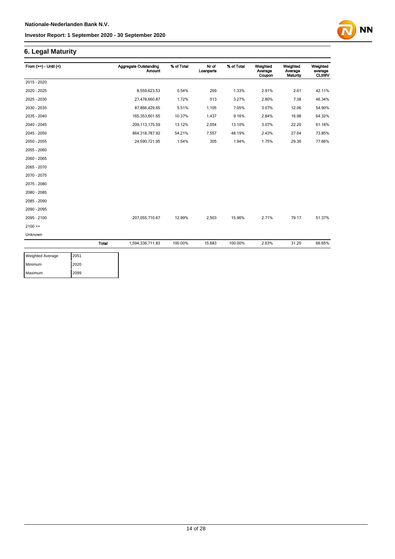# **6. Legal Maturity**

| From $(>=) -$ Until $($ |              | <b>Aggregate Outstanding</b><br><b>Amount</b> | % of Total | Nr of<br>Loanparts | % of Total | Weighted<br>Average<br>Coupon | Weighted<br>Average<br>Maturity | Weighted<br>average<br><b>CLtIMV</b> |
|-------------------------|--------------|-----------------------------------------------|------------|--------------------|------------|-------------------------------|---------------------------------|--------------------------------------|
| 2015 - 2020             |              |                                               |            |                    |            |                               |                                 |                                      |
| 2020 - 2025             |              | 8,559,623.53                                  | 0.54%      | 209                | 1.33%      | 2.91%                         | 2.61                            | 42.11%                               |
| 2025 - 2030             |              | 27,478,660.87                                 | 1.72%      | 513                | 3.27%      | 2.80%                         | 7.38                            | 46.34%                               |
| 2030 - 2035             |              | 87,866,429.65                                 | 5.51%      | 1,105              | 7.05%      | 3.07%                         | 12.06                           | 54.90%                               |
| 2035 - 2040             |              | 165,353,601.65                                | 10.37%     | 1,437              | 9.16%      | 2.84%                         | 16.98                           | 64.32%                               |
| 2040 - 2045             |              | 209, 113, 175.59                              | 13.12%     | 2,054              | 13.10%     | 3.07%                         | 22.20                           | 61.18%                               |
| 2045 - 2050             |              | 864,318,787.92                                | 54.21%     | 7,557              | 48.19%     | 2.43%                         | 27.64                           | 73.85%                               |
| 2050 - 2055             |              | 24,590,721.95                                 | 1.54%      | 305                | 1.94%      | 1.75%                         | 29.36                           | 77.66%                               |
| 2055 - 2060             |              |                                               |            |                    |            |                               |                                 |                                      |
| 2060 - 2065             |              |                                               |            |                    |            |                               |                                 |                                      |
| 2065 - 2070             |              |                                               |            |                    |            |                               |                                 |                                      |
| 2070 - 2075             |              |                                               |            |                    |            |                               |                                 |                                      |
| 2075 - 2080             |              |                                               |            |                    |            |                               |                                 |                                      |
| 2080 - 2085             |              |                                               |            |                    |            |                               |                                 |                                      |
| 2085 - 2090             |              |                                               |            |                    |            |                               |                                 |                                      |
| 2090 - 2095             |              |                                               |            |                    |            |                               |                                 |                                      |
| 2095 - 2100             |              | 207,055,710.67                                | 12.99%     | 2,503              | 15.96%     | 2.71%                         | 79.17                           | 51.37%                               |
| $2100 =$                |              |                                               |            |                    |            |                               |                                 |                                      |
| Unknown                 |              |                                               |            |                    |            |                               |                                 |                                      |
|                         | <b>Total</b> | 1,594,336,711.83                              | 100.00%    | 15,683             | 100.00%    | 2.63%                         | 31.20                           | 66.65%                               |

| <b>Weighted Average</b> | 2051 |
|-------------------------|------|
| Minimum                 | 2020 |
| Maximum                 | 2099 |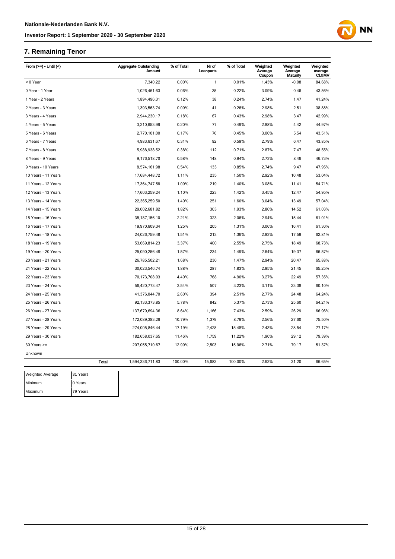# **7. Remaining Tenor**

Maximum 79 Years

| From $(>=) -$ Until $($ |              | <b>Aggregate Outstanding</b><br><b>Amount</b> | % of Total | Nr of<br>Loanparts | % of Total | Weighted<br>Average<br>Coupon | Weighted<br>Average<br>Maturity | Weighted<br>average<br><b>CLtIMV</b> |
|-------------------------|--------------|-----------------------------------------------|------------|--------------------|------------|-------------------------------|---------------------------------|--------------------------------------|
| < 0 Year                |              | 7,340.22                                      | 0.00%      | $\mathbf{1}$       | 0.01%      | 1.43%                         | $-0.08$                         | 84.68%                               |
| 0 Year - 1 Year         |              | 1,026,461.63                                  | 0.06%      | 35                 | 0.22%      | 3.09%                         | 0.46                            | 43.56%                               |
| 1 Year - 2 Years        |              | 1,894,496.31                                  | 0.12%      | 38                 | 0.24%      | 2.74%                         | 1.47                            | 41.24%                               |
| 2 Years - 3 Years       |              | 1,393,563.74                                  | 0.09%      | 41                 | 0.26%      | 2.98%                         | 2.51                            | 38.88%                               |
| 3 Years - 4 Years       |              | 2,944,230.17                                  | 0.18%      | 67                 | 0.43%      | 2.98%                         | 3.47                            | 42.99%                               |
| 4 Years - 5 Years       |              | 3,210,653.99                                  | 0.20%      | 77                 | 0.49%      | 2.88%                         | 4.42                            | 44.97%                               |
| 5 Years - 6 Years       |              | 2,770,101.00                                  | 0.17%      | 70                 | 0.45%      | 3.06%                         | 5.54                            | 43.51%                               |
| 6 Years - 7 Years       |              | 4,983,631.67                                  | 0.31%      | 92                 | 0.59%      | 2.79%                         | 6.47                            | 43.85%                               |
| 7 Years - 8 Years       |              | 5,988,938.52                                  | 0.38%      | 112                | 0.71%      | 2.87%                         | 7.47                            | 48.55%                               |
| 8 Years - 9 Years       |              | 9,176,518.70                                  | 0.58%      | 148                | 0.94%      | 2.73%                         | 8.46                            | 46.73%                               |
| 9 Years - 10 Years      |              | 8,574,161.98                                  | 0.54%      | 133                | 0.85%      | 2.74%                         | 9.47                            | 47.95%                               |
| 10 Years - 11 Years     |              | 17,684,448.72                                 | 1.11%      | 235                | 1.50%      | 2.92%                         | 10.48                           | 53.04%                               |
| 11 Years - 12 Years     |              | 17,364,747.58                                 | 1.09%      | 219                | 1.40%      | 3.08%                         | 11.41                           | 54.71%                               |
| 12 Years - 13 Years     |              | 17,603,259.24                                 | 1.10%      | 223                | 1.42%      | 3.45%                         | 12.47                           | 54.95%                               |
| 13 Years - 14 Years     |              | 22,365,259.50                                 | 1.40%      | 251                | 1.60%      | 3.04%                         | 13.49                           | 57.04%                               |
| 14 Years - 15 Years     |              | 29,002,681.82                                 | 1.82%      | 303                | 1.93%      | 2.86%                         | 14.52                           | 61.03%                               |
| 15 Years - 16 Years     |              | 35, 187, 156.10                               | 2.21%      | 323                | 2.06%      | 2.94%                         | 15.44                           | 61.01%                               |
| 16 Years - 17 Years     |              | 19,970,609.34                                 | 1.25%      | 205                | 1.31%      | 3.06%                         | 16.41                           | 61.30%                               |
| 17 Years - 18 Years     |              | 24,026,759.48                                 | 1.51%      | 213                | 1.36%      | 2.83%                         | 17.59                           | 62.81%                               |
| 18 Years - 19 Years     |              | 53,669,814.23                                 | 3.37%      | 400                | 2.55%      | 2.75%                         | 18.49                           | 68.73%                               |
| 19 Years - 20 Years     |              | 25,090,256.48                                 | 1.57%      | 234                | 1.49%      | 2.64%                         | 19.37                           | 66.57%                               |
| 20 Years - 21 Years     |              | 26,785,502.21                                 | 1.68%      | 230                | 1.47%      | 2.94%                         | 20.47                           | 65.88%                               |
| 21 Years - 22 Years     |              | 30,023,546.74                                 | 1.88%      | 287                | 1.83%      | 2.85%                         | 21.45                           | 65.25%                               |
| 22 Years - 23 Years     |              | 70,173,708.03                                 | 4.40%      | 768                | 4.90%      | 3.27%                         | 22.49                           | 57.35%                               |
| 23 Years - 24 Years     |              | 56,420,773.47                                 | 3.54%      | 507                | 3.23%      | 3.11%                         | 23.38                           | 60.10%                               |
| 24 Years - 25 Years     |              | 41,376,044.70                                 | 2.60%      | 394                | 2.51%      | 2.77%                         | 24.48                           | 64.24%                               |
| 25 Years - 26 Years     |              | 92, 133, 373.85                               | 5.78%      | 842                | 5.37%      | 2.73%                         | 25.60                           | 64.21%                               |
| 26 Years - 27 Years     |              | 137,679,694.36                                | 8.64%      | 1,166              | 7.43%      | 2.59%                         | 26.29                           | 66.96%                               |
| 27 Years - 28 Years     |              | 172,089,383.29                                | 10.79%     | 1,379              | 8.79%      | 2.56%                         | 27.60                           | 75.50%                               |
| 28 Years - 29 Years     |              | 274,005,846.44                                | 17.19%     | 2,428              | 15.48%     | 2.43%                         | 28.54                           | 77.17%                               |
| 29 Years - 30 Years     |              | 182,658,037.65                                | 11.46%     | 1,759              | 11.22%     | 1.90%                         | 29.12                           | 79.39%                               |
| $30$ Years $>=$         |              | 207,055,710.67                                | 12.99%     | 2,503              | 15.96%     | 2.71%                         | 79.17                           | 51.37%                               |
| Unknown                 |              |                                               |            |                    |            |                               |                                 |                                      |
|                         | <b>Total</b> | 1,594,336,711.83                              | 100.00%    | 15,683             | 100.00%    | 2.63%                         | 31.20                           | 66.65%                               |
|                         |              |                                               |            |                    |            |                               |                                 |                                      |
| Weighted Average        | 31 Years     |                                               |            |                    |            |                               |                                 |                                      |
| Minimum                 | 0 Years      |                                               |            |                    |            |                               |                                 |                                      |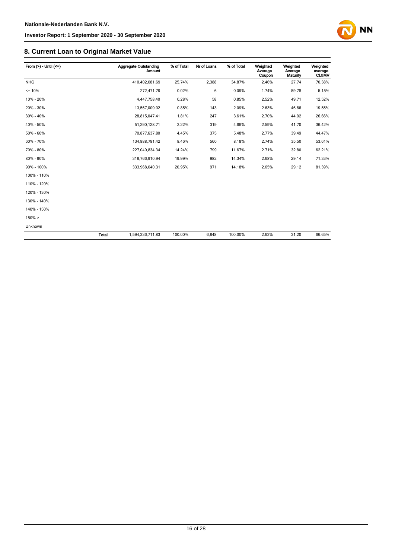# **8. Current Loan to Original Market Value**

| From $(>) -$ Until $(<=)$ |              | Aggregate Outstanding<br><b>Amount</b> | % of Total | Nr of Loans | % of Total | Weighted<br>Average<br>Coupon | Weighted<br>Average<br><b>Maturity</b> | Weighted<br>average<br><b>CLtIMV</b> |
|---------------------------|--------------|----------------------------------------|------------|-------------|------------|-------------------------------|----------------------------------------|--------------------------------------|
| <b>NHG</b>                |              | 410,402,081.69                         | 25.74%     | 2,388       | 34.87%     | 2.46%                         | 27.74                                  | 70.38%                               |
| $= 10%$                   |              | 272,471.79                             | 0.02%      | 6           | 0.09%      | 1.74%                         | 59.78                                  | 5.15%                                |
| 10% - 20%                 |              | 4,447,758.40                           | 0.28%      | 58          | 0.85%      | 2.52%                         | 49.71                                  | 12.52%                               |
| 20% - 30%                 |              | 13,567,009.02                          | 0.85%      | 143         | 2.09%      | 2.63%                         | 46.86                                  | 19.55%                               |
| 30% - 40%                 |              | 28,815,047.41                          | 1.81%      | 247         | 3.61%      | 2.70%                         | 44.92                                  | 26.66%                               |
| 40% - 50%                 |              | 51,290,128.71                          | 3.22%      | 319         | 4.66%      | 2.59%                         | 41.70                                  | 36.42%                               |
| 50% - 60%                 |              | 70,877,637.80                          | 4.45%      | 375         | 5.48%      | 2.77%                         | 39.49                                  | 44.47%                               |
| 60% - 70%                 |              | 134,888,791.42                         | 8.46%      | 560         | 8.18%      | 2.74%                         | 35.50                                  | 53.61%                               |
| 70% - 80%                 |              | 227,040,834.34                         | 14.24%     | 799         | 11.67%     | 2.71%                         | 32.80                                  | 62.21%                               |
| 80% - 90%                 |              | 318,766,910.94                         | 19.99%     | 982         | 14.34%     | 2.68%                         | 29.14                                  | 71.33%                               |
| 90% - 100%                |              | 333,968,040.31                         | 20.95%     | 971         | 14.18%     | 2.65%                         | 29.12                                  | 81.39%                               |
| 100% - 110%               |              |                                        |            |             |            |                               |                                        |                                      |
| 110% - 120%               |              |                                        |            |             |            |                               |                                        |                                      |
| 120% - 130%               |              |                                        |            |             |            |                               |                                        |                                      |
| 130% - 140%               |              |                                        |            |             |            |                               |                                        |                                      |
| 140% - 150%               |              |                                        |            |             |            |                               |                                        |                                      |
| $150\% >$                 |              |                                        |            |             |            |                               |                                        |                                      |
| Unknown                   |              |                                        |            |             |            |                               |                                        |                                      |
|                           | <b>Total</b> | 1,594,336,711.83                       | 100.00%    | 6,848       | 100.00%    | 2.63%                         | 31.20                                  | 66.65%                               |

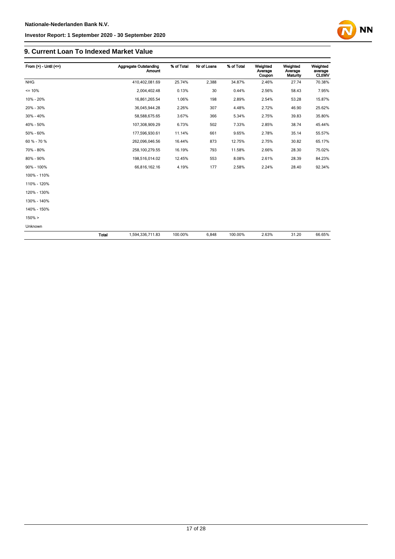# **9. Current Loan To Indexed Market Value**

| From $(>) -$ Until $(<=)$ |              | Aggregate Outstanding<br>Amount | % of Total | Nr of Loans | % of Total | Weighted<br>Average<br>Coupon | Weighted<br>Average<br><b>Maturity</b> | Weighted<br>average<br><b>CLtIMV</b> |
|---------------------------|--------------|---------------------------------|------------|-------------|------------|-------------------------------|----------------------------------------|--------------------------------------|
| <b>NHG</b>                |              | 410,402,081.69                  | 25.74%     | 2,388       | 34.87%     | 2.46%                         | 27.74                                  | 70.38%                               |
| $= 10%$                   |              | 2,004,402.48                    | 0.13%      | 30          | 0.44%      | 2.56%                         | 58.43                                  | 7.95%                                |
| 10% - 20%                 |              | 16,861,265.54                   | 1.06%      | 198         | 2.89%      | 2.54%                         | 53.28                                  | 15.87%                               |
| 20% - 30%                 |              | 36,045,944.28                   | 2.26%      | 307         | 4.48%      | 2.72%                         | 46.90                                  | 25.62%                               |
| 30% - 40%                 |              | 58,588,675.65                   | 3.67%      | 366         | 5.34%      | 2.75%                         | 39.83                                  | 35.80%                               |
| 40% - 50%                 |              | 107,308,909.29                  | 6.73%      | 502         | 7.33%      | 2.85%                         | 38.74                                  | 45.44%                               |
| 50% - 60%                 |              | 177,596,930.61                  | 11.14%     | 661         | 9.65%      | 2.78%                         | 35.14                                  | 55.57%                               |
| 60 % - 70 %               |              | 262,096,046.56                  | 16.44%     | 873         | 12.75%     | 2.75%                         | 30.82                                  | 65.17%                               |
| 70% - 80%                 |              | 258,100,279.55                  | 16.19%     | 793         | 11.58%     | 2.66%                         | 28.30                                  | 75.02%                               |
| 80% - 90%                 |              | 198,516,014.02                  | 12.45%     | 553         | 8.08%      | 2.61%                         | 28.39                                  | 84.23%                               |
| 90% - 100%                |              | 66,816,162.16                   | 4.19%      | 177         | 2.58%      | 2.24%                         | 28.40                                  | 92.34%                               |
| 100% - 110%               |              |                                 |            |             |            |                               |                                        |                                      |
| 110% - 120%               |              |                                 |            |             |            |                               |                                        |                                      |
| 120% - 130%               |              |                                 |            |             |            |                               |                                        |                                      |
| 130% - 140%               |              |                                 |            |             |            |                               |                                        |                                      |
| 140% - 150%               |              |                                 |            |             |            |                               |                                        |                                      |
| $150\% >$                 |              |                                 |            |             |            |                               |                                        |                                      |
| Unknown                   |              |                                 |            |             |            |                               |                                        |                                      |
|                           | <b>Total</b> | 1,594,336,711.83                | 100.00%    | 6,848       | 100.00%    | 2.63%                         | 31.20                                  | 66.65%                               |

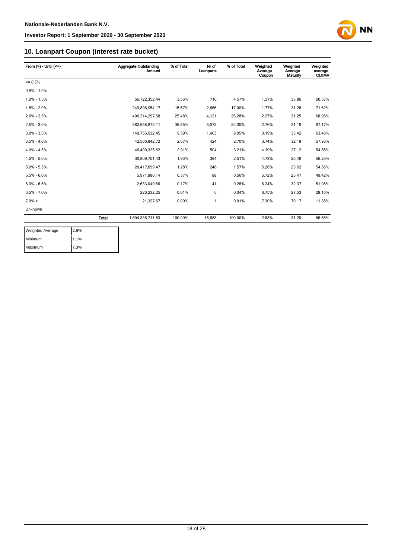

# **10. Loanpart Coupon (interest rate bucket)**

| From $(>)$ - Until $(<=)$ |              | Aggregate Outstanding | % of Total | Nr of     | % of Total | Weighted          | Weighted            | Weighted                 |
|---------------------------|--------------|-----------------------|------------|-----------|------------|-------------------|---------------------|--------------------------|
|                           |              | <b>Amount</b>         |            | Loanparts |            | Average<br>Coupon | Average<br>Maturity | average<br><b>CLtIMV</b> |
| $= 0.5%$                  |              |                       |            |           |            |                   |                     |                          |
| $0.5\% - 1.0\%$           |              |                       |            |           |            |                   |                     |                          |
| $1.0\% - 1.5\%$           |              | 56.722.352.44         | 3.56%      | 716       | 4.57%      | 1.37%             | 33.86               | 60.37%                   |
| $1.5\% - 2.0\%$           |              | 249,896,954.17        | 15.67%     | 2,666     | 17.00%     | 1.77%             | 31.26               | 71.62%                   |
| $2.0\% - 2.5\%$           |              | 406,314,297.68        | 25.48%     | 4,121     | 26.28%     | 2.27%             | 31.25               | 68.98%                   |
| $2.5\% - 3.0\%$           |              | 582,658,875.11        | 36.55%     | 5,073     | 32.35%     | 2.76%             | 31.18               | 67.17%                   |
| $3.0\% - 3.5\%$           |              | 149,756,932.45        | 9.39%      | 1.403     | 8.95%      | 3.19%             | 33.42               | 63.48%                   |
| $3.5\% - 4.0\%$           |              | 42,506,942.72         | 2.67%      | 424       | 2.70%      | 3.74%             | 32.19               | 57.86%                   |
| $4.0\% - 4.5\%$           |              | 46.400.325.62         | 2.91%      | 504       | 3.21%      | 4.19%             | 27.12               | 54.56%                   |
| $4.5\% - 5.0\%$           |              | 30.809.751.43         | 1.93%      | 394       | 2.51%      | 4.78%             | 25.46               | 56.25%                   |
| $5.0\% - 5.5\%$           |              | 20.417.699.47         | 1.28%      | 246       | 1.57%      | 5.26%             | 23.62               | 54.56%                   |
| $5.5\% - 6.0\%$           |              | 5,971,980.14          | 0.37%      | 88        | 0.56%      | 5.72%             | 25.47               | 49.42%                   |
| $6.0\% - 6.5\%$           |              | 2.633.040.68          | 0.17%      | 41        | 0.26%      | 6.24%             | 32.37               | 51.98%                   |
| $6.5\% - 7.0\%$           |              | 226.232.25            | 0.01%      | 6         | 0.04%      | 6.75%             | 27.53               | 29.16%                   |
| $7.0\% >$                 |              | 21.327.67             | 0.00%      | 1         | 0.01%      | 7.30%             | 79.17               | 11.38%                   |
| Unknown                   |              |                       |            |           |            |                   |                     |                          |
|                           | <b>Total</b> | 1,594,336,711.83      | 100.00%    | 15.683    | 100.00%    | 2.63%             | 31.20               | 66.65%                   |

| <b>Weighted Average</b> | 2.6% |
|-------------------------|------|
| Minimum                 | 1.1% |
| Maximum                 | 7.3% |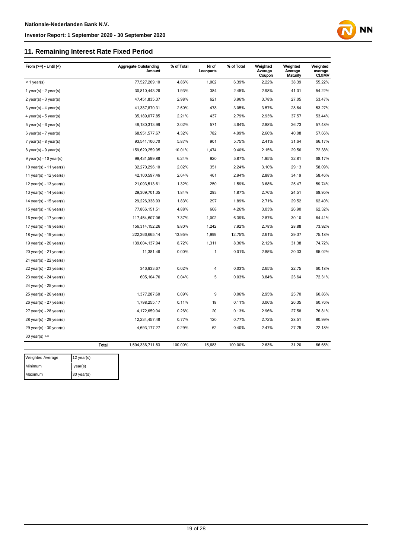### **11. Remaining Interest Rate Fixed Period**

| From $(>=)$ - Until $($     | <b>Aggregate Outstanding</b><br><b>Amount</b> | % of Total | Nr of<br>Loanparts | % of Total | Weighted<br>Average<br>Coupon | Weighted<br>Average<br>Maturity | Weighted<br>average<br><b>CLtIMV</b> |
|-----------------------------|-----------------------------------------------|------------|--------------------|------------|-------------------------------|---------------------------------|--------------------------------------|
| $<$ 1 year(s)               | 77,527,209.10                                 | 4.86%      | 1,002              | 6.39%      | 2.22%                         | 38.39                           | 55.22%                               |
| 1 year(s) - $2$ year(s)     | 30,810,443.26                                 | 1.93%      | 384                | 2.45%      | 2.98%                         | 41.01                           | 54.22%                               |
| $2$ year(s) - $3$ year(s)   | 47,451,835.37                                 | 2.98%      | 621                | 3.96%      | 3.78%                         | 27.05                           | 53.47%                               |
| $3$ year(s) - 4 year(s)     | 41,387,870.31                                 | 2.60%      | 478                | 3.05%      | 3.57%                         | 28.64                           | 53.27%                               |
| 4 year(s) - 5 year(s)       | 35, 189, 077.85                               | 2.21%      | 437                | 2.79%      | 2.93%                         | 37.57                           | 53.44%                               |
| $5$ year(s) - $6$ year(s)   | 48,180,313.99                                 | 3.02%      | 571                | 3.64%      | 2.88%                         | 36.73                           | 57.48%                               |
| $6$ year(s) - 7 year(s)     | 68,951,577.67                                 | 4.32%      | 782                | 4.99%      | 2.66%                         | 40.08                           | 57.66%                               |
| $7$ year(s) - 8 year(s)     | 93,541,106.70                                 | 5.87%      | 901                | 5.75%      | 2.41%                         | 31.64                           | 66.17%                               |
| $8$ year(s) - $9$ year(s)   | 159,620,259.95                                | 10.01%     | 1,474              | 9.40%      | 2.15%                         | 29.56                           | 72.38%                               |
| $9$ year(s) - 10 year(s)    | 99,431,599.88                                 | 6.24%      | 920                | 5.87%      | 1.95%                         | 32.81                           | 68.17%                               |
| 10 year(s) - 11 year(s)     | 32,270,296.10                                 | 2.02%      | 351                | 2.24%      | 3.10%                         | 29.13                           | 58.09%                               |
| 11 year(s) - $12$ year(s)   | 42,100,597.46                                 | 2.64%      | 461                | 2.94%      | 2.88%                         | 34.19                           | 58.46%                               |
| 12 year(s) - 13 year(s)     | 21,093,513.61                                 | 1.32%      | 250                | 1.59%      | 3.68%                         | 25.47                           | 59.74%                               |
| 13 year(s) - $14$ year(s)   | 29,309,701.35                                 | 1.84%      | 293                | 1.87%      | 2.76%                         | 24.51                           | 68.95%                               |
| 14 year(s) - $15$ year(s)   | 29,226,338.93                                 | 1.83%      | 297                | 1.89%      | 2.71%                         | 29.52                           | 62.40%                               |
| 15 year(s) - $16$ year(s)   | 77,866,151.51                                 | 4.88%      | 668                | 4.26%      | 3.03%                         | 26.90                           | 62.32%                               |
| 16 year(s) - $17$ year(s)   | 117,454,607.06                                | 7.37%      | 1,002              | 6.39%      | 2.87%                         | 30.10                           | 64.41%                               |
| 17 year(s) - $18$ year(s)   | 156,314,152.26                                | 9.80%      | 1,242              | 7.92%      | 2.78%                         | 28.88                           | 73.92%                               |
| 18 year(s) - 19 year(s)     | 222,366,665.14                                | 13.95%     | 1,999              | 12.75%     | 2.61%                         | 29.37                           | 75.18%                               |
| 19 year(s) - $20$ year(s)   | 139,004,137.94                                | 8.72%      | 1,311              | 8.36%      | 2.12%                         | 31.38                           | 74.72%                               |
| $20$ year(s) - 21 year(s)   | 11,381.46                                     | 0.00%      | 1                  | 0.01%      | 2.85%                         | 20.33                           | 65.02%                               |
| 21 year(s) - 22 year(s)     |                                               |            |                    |            |                               |                                 |                                      |
| $22$ year(s) - $23$ year(s) | 346,933.67                                    | 0.02%      | 4                  | 0.03%      | 2.65%                         | 22.75                           | 60.18%                               |
| $23$ year(s) - $24$ year(s) | 605,104.70                                    | 0.04%      | 5                  | 0.03%      | 3.84%                         | 23.64                           | 72.31%                               |
| 24 year(s) - 25 year(s)     |                                               |            |                    |            |                               |                                 |                                      |
| $25$ year(s) - $26$ year(s) | 1,377,287.60                                  | 0.09%      | 9                  | 0.06%      | 2.95%                         | 25.70                           | 60.86%                               |
| 26 year(s) - 27 year(s)     | 1,798,255.17                                  | 0.11%      | 18                 | 0.11%      | 3.06%                         | 26.35                           | 60.76%                               |
| 27 year(s) - 28 year(s)     | 4,172,659.04                                  | 0.26%      | 20                 | 0.13%      | 2.96%                         | 27.58                           | 76.81%                               |
| $28$ year(s) - $29$ year(s) | 12,234,457.48                                 | 0.77%      | 120                | 0.77%      | 2.72%                         | 28.51                           | 80.99%                               |
| 29 year(s) - 30 year(s)     | 4,693,177.27                                  | 0.29%      | 62                 | 0.40%      | 2.47%                         | 27.75                           | 72.18%                               |
| $30$ year(s) >=             |                                               |            |                    |            |                               |                                 |                                      |

**NN** 

| <b>Weighted Average</b> | 12 year(s) |
|-------------------------|------------|
| Minimum                 | year(s)    |
| Maximum                 | 30 year(s) |

Total 1,594,336,711.83 100.00% 15,683 100.00% 2.63% 31.20 66.65%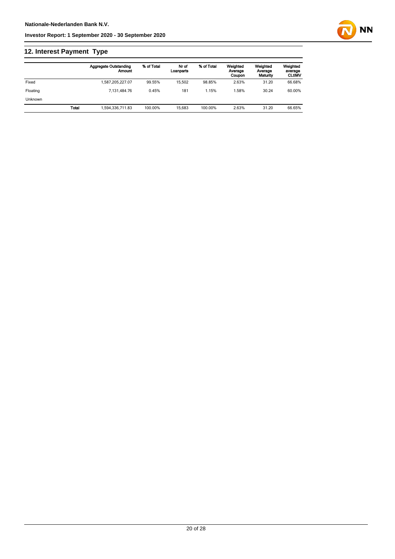# **12. Interest Payment Type**

|          |              | <b>Aggregate Outstanding</b><br>Amount | % of Total | Nr of<br>Loanparts | % of Total | Weighted<br>Average<br>Coupon | Weighted<br>Average<br>Maturity | Weighted<br>average<br><b>CLtIMV</b> |
|----------|--------------|----------------------------------------|------------|--------------------|------------|-------------------------------|---------------------------------|--------------------------------------|
| Fixed    |              | 1,587,205,227.07                       | 99.55%     | 15.502             | 98.85%     | 2.63%                         | 31.20                           | 66.68%                               |
| Floating |              | 7.131.484.76                           | 0.45%      | 181                | 1.15%      | .58%                          | 30.24                           | 60.00%                               |
| Unknown  |              |                                        |            |                    |            |                               |                                 |                                      |
|          | <b>Total</b> | 1.594.336.711.83                       | 100.00%    | 15.683             | 100.00%    | 2.63%                         | 31.20                           | 66.65%                               |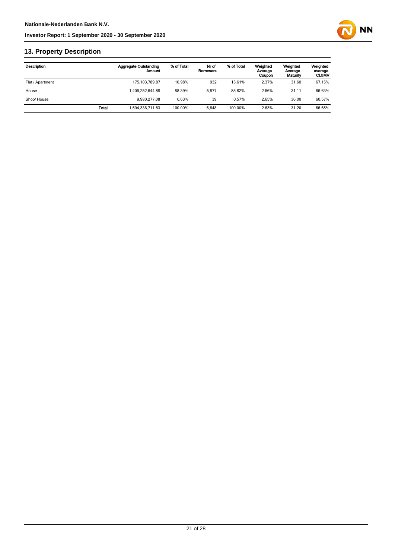

# **13. Property Description**

| <b>Description</b> |              | <b>Aggregate Outstanding</b><br>Amount | % of Total | Nr of<br><b>Borrowers</b> | % of Total | Weighted<br>Average<br>Coupon | Weighted<br>Average<br>Maturity | Weighted<br>average<br><b>CLtIMV</b> |
|--------------------|--------------|----------------------------------------|------------|---------------------------|------------|-------------------------------|---------------------------------|--------------------------------------|
| Flat / Apartment   |              | 175, 103, 789.87                       | 10.98%     | 932                       | 13.61%     | 2.37%                         | 31.60                           | 67.15%                               |
| House              |              | 1.409.252.644.88                       | 88.39%     | 5.877                     | 85.82%     | 2.66%                         | 31.11                           | 66.63%                               |
| Shop/House         |              | 9.980.277.08                           | 0.63%      | 39                        | 0.57%      | 2.65%                         | 36.00                           | 60.57%                               |
|                    | <b>Total</b> | 1,594,336,711.83                       | 100.00%    | 6.848                     | 100.00%    | 2.63%                         | 31.20                           | 66.65%                               |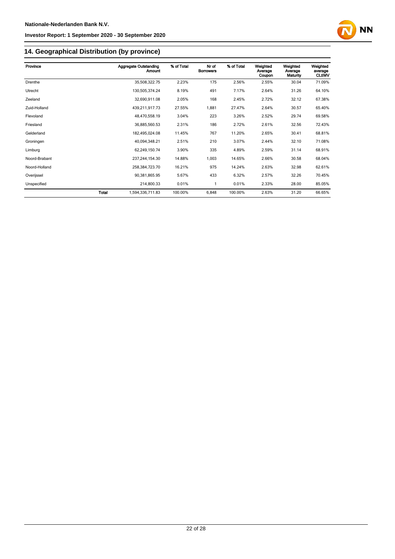

# **14. Geographical Distribution (by province)**

| Province      |              | <b>Aggregate Outstanding</b><br>Amount | % of Total | Nr of<br><b>Borrowers</b> | % of Total | Weighted<br>Average<br>Coupon | Weighted<br>Average<br>Maturity | Weighted<br>average<br><b>CLtIMV</b> |
|---------------|--------------|----------------------------------------|------------|---------------------------|------------|-------------------------------|---------------------------------|--------------------------------------|
| Drenthe       |              | 35,508,322.75                          | 2.23%      | 175                       | 2.56%      | 2.55%                         | 30.04                           | 71.09%                               |
| Utrecht       |              | 130,505,374.24                         | 8.19%      | 491                       | 7.17%      | 2.64%                         | 31.26                           | 64.10%                               |
| Zeeland       |              | 32,690,911.08                          | 2.05%      | 168                       | 2.45%      | 2.72%                         | 32.12                           | 67.38%                               |
| Zuid-Holland  |              | 439,211,917.73                         | 27.55%     | 1,881                     | 27.47%     | 2.64%                         | 30.57                           | 65.40%                               |
| Flevoland     |              | 48,470,558.19                          | 3.04%      | 223                       | 3.26%      | 2.52%                         | 29.74                           | 69.58%                               |
| Friesland     |              | 36,885,560.53                          | 2.31%      | 186                       | 2.72%      | 2.61%                         | 32.56                           | 72.43%                               |
| Gelderland    |              | 182,495,024.08                         | 11.45%     | 767                       | 11.20%     | 2.65%                         | 30.41                           | 68.81%                               |
| Groningen     |              | 40,094,348.21                          | 2.51%      | 210                       | 3.07%      | 2.44%                         | 32.10                           | 71.08%                               |
| Limburg       |              | 62,249,150.74                          | 3.90%      | 335                       | 4.89%      | 2.59%                         | 31.14                           | 68.91%                               |
| Noord-Brabant |              | 237,244,154.30                         | 14.88%     | 1,003                     | 14.65%     | 2.66%                         | 30.58                           | 68.04%                               |
| Noord-Holland |              | 258,384,723.70                         | 16.21%     | 975                       | 14.24%     | 2.63%                         | 32.98                           | 62.61%                               |
| Overijssel    |              | 90,381,865.95                          | 5.67%      | 433                       | 6.32%      | 2.57%                         | 32.26                           | 70.45%                               |
| Unspecified   |              | 214,800.33                             | 0.01%      | $\mathbf{1}$              | 0.01%      | 2.33%                         | 28.00                           | 85.05%                               |
|               | <b>Total</b> | 1,594,336,711.83                       | 100.00%    | 6,848                     | 100.00%    | 2.63%                         | 31.20                           | 66.65%                               |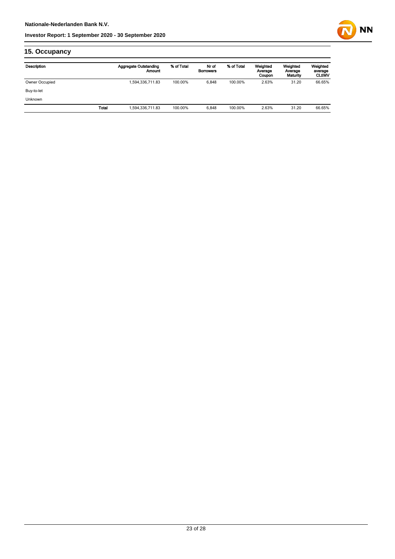

# **15. Occupancy**

| Description    |       | <b>Aggregate Outstanding</b><br>Amount | % of Total | Nr of<br><b>Borrowers</b> | % of Total | Weighted<br>Average<br>Coupon | Weighted<br>Average<br>Maturity | Weighted<br>average<br><b>CLtIMV</b> |
|----------------|-------|----------------------------------------|------------|---------------------------|------------|-------------------------------|---------------------------------|--------------------------------------|
| Owner Occupied |       | 1,594,336,711.83                       | 100.00%    | 6,848                     | 100.00%    | 2.63%                         | 31.20                           | 66.65%                               |
| Buy-to-let     |       |                                        |            |                           |            |                               |                                 |                                      |
| Unknown        |       |                                        |            |                           |            |                               |                                 |                                      |
|                | Total | 1,594,336,711.83                       | 100.00%    | 6.848                     | 100.00%    | 2.63%                         | 31.20                           | 66.65%                               |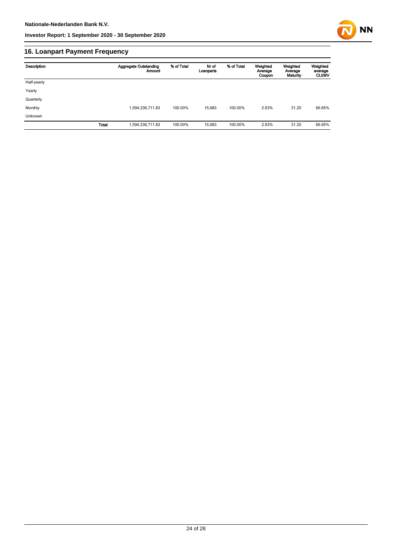

# **16. Loanpart Payment Frequency**

| Description | <b>Aggregate Outstanding</b><br><b>Amount</b> | % of Total | Nr of<br>Loanparts | % of Total | Weighted<br>Average<br>Coupon | Weighted<br>Average<br>Maturity | Weighted<br>average<br><b>CLUMV</b> |
|-------------|-----------------------------------------------|------------|--------------------|------------|-------------------------------|---------------------------------|-------------------------------------|
| Half-yearly |                                               |            |                    |            |                               |                                 |                                     |
| Yearly      |                                               |            |                    |            |                               |                                 |                                     |
| Quarterly   |                                               |            |                    |            |                               |                                 |                                     |
| Monthly     | 1,594,336,711.83                              | 100.00%    | 15.683             | 100.00%    | 2.63%                         | 31.20                           | 66.65%                              |
| Unknown     |                                               |            |                    |            |                               |                                 |                                     |
| Total       | 1,594,336,711.83                              | 100.00%    | 15,683             | 100.00%    | 2.63%                         | 31.20                           | 66.65%                              |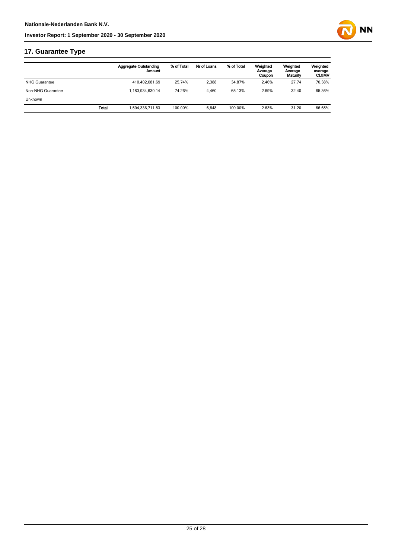

|                      |       | Aggregate Outstanding<br>Amount | % of Total | Nr of Loans | % of Total | Weighted<br>Average<br>Coupon | Weighted<br>Average<br>Maturity | Weighted<br>average<br><b>CLtIMV</b> |
|----------------------|-------|---------------------------------|------------|-------------|------------|-------------------------------|---------------------------------|--------------------------------------|
| <b>NHG Guarantee</b> |       | 410,402,081.69                  | 25.74%     | 2.388       | 34.87%     | 2.46%                         | 27.74                           | 70.38%                               |
| Non-NHG Guarantee    |       | 1.183.934.630.14                | 74.26%     | 4.460       | 65.13%     | 2.69%                         | 32.40                           | 65.36%                               |
| <b>Unknown</b>       |       |                                 |            |             |            |                               |                                 |                                      |
|                      | Total | 1,594,336,711.83                | 100.00%    | 6.848       | 100.00%    | 2.63%                         | 31.20                           | 66.65%                               |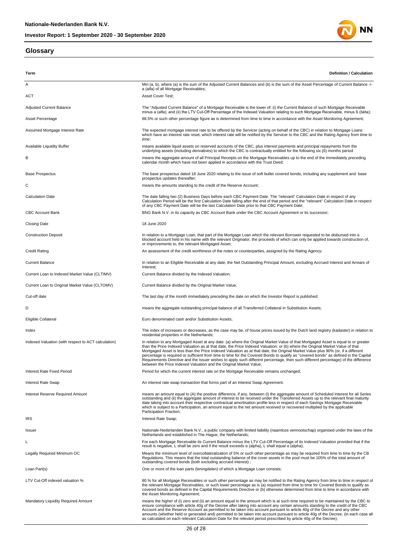# **Glossary**



| Term                                                | <b>Definition / Calculation</b>                                                                                                                                                                                                                                                                                                                                                                                                                                                                                                                                                                                                                                                                                                                             |
|-----------------------------------------------------|-------------------------------------------------------------------------------------------------------------------------------------------------------------------------------------------------------------------------------------------------------------------------------------------------------------------------------------------------------------------------------------------------------------------------------------------------------------------------------------------------------------------------------------------------------------------------------------------------------------------------------------------------------------------------------------------------------------------------------------------------------------|
| Α                                                   | Min (a, b), where (a) is the sum of the Adjusted Current Balances and (b) is the sum of the Asset Percentage of Current Balance -/-<br>a (alfa) of all Mortgage Receivables;                                                                                                                                                                                                                                                                                                                                                                                                                                                                                                                                                                                |
| <b>ACT</b>                                          | Asset Cover Test;                                                                                                                                                                                                                                                                                                                                                                                                                                                                                                                                                                                                                                                                                                                                           |
| <b>Adjusted Current Balance</b>                     | The "Adjusted Current Balance" of a Mortgage Receivable is the lower of: (i) the Current Balance of such Mortgage Receivable<br>minus a (alfa); and (ii) the LTV Cut-Off Percentage of the Indexed Valuation relating to such Mortgage Receivable, minus ß (bèta);                                                                                                                                                                                                                                                                                                                                                                                                                                                                                          |
| Asset Percentage                                    | 88.5% or such other percentage figure as is determined from time to time in accordance with the Asset Monitoring Agreement;                                                                                                                                                                                                                                                                                                                                                                                                                                                                                                                                                                                                                                 |
| Assumed Mortgage Interest Rate                      | The expected mortgage interest rate to be offered by the Servicer (acting on behalf of the CBC) in relation to Mortgage Loans<br>which have an interest rate reset, which interest rate will be notified by the Servicer to the CBC and the Rating Agency from time to<br>time;                                                                                                                                                                                                                                                                                                                                                                                                                                                                             |
| Available Liquidity Buffer                          | means available liquid assets on reserved accounts of the CBC, plus interest payments and principal repayments from the<br>underlying assets (including derivatives) to which the CBC is contractually entitled for the following six (6) months period                                                                                                                                                                                                                                                                                                                                                                                                                                                                                                     |
| в                                                   | means the aggregate amount of all Principal Receipts on the Mortgage Receivables up to the end of the immediately preceding<br>calendar month which have not been applied in accordance with the Trust Deed;                                                                                                                                                                                                                                                                                                                                                                                                                                                                                                                                                |
| <b>Base Prospectus</b>                              | The base prospectus dated 18 June 2020 relating to the issue of soft bullet covered bonds, including any supplement and base<br>prospectus updates thereafter;                                                                                                                                                                                                                                                                                                                                                                                                                                                                                                                                                                                              |
| С                                                   | means the amounts standing to the credit of the Reserve Account;                                                                                                                                                                                                                                                                                                                                                                                                                                                                                                                                                                                                                                                                                            |
| <b>Calculation Date</b>                             | The date falling two (2) Business Days before each CBC Payment Date. The "relevant" Calculation Date in respect of any<br>Calculation Period will be the first Calculation Date falling after the end of that period and the "relevant" Calculation Date in respect<br>of any CBC Payment Date will be the last Calculation Date prior to that CBC Payment Date;                                                                                                                                                                                                                                                                                                                                                                                            |
| <b>CBC Account Bank</b>                             | BNG Bank N.V. in its capacity as CBC Account Bank under the CBC Account Agreement or its successor;                                                                                                                                                                                                                                                                                                                                                                                                                                                                                                                                                                                                                                                         |
| <b>Closing Date</b>                                 | 18 June 2020                                                                                                                                                                                                                                                                                                                                                                                                                                                                                                                                                                                                                                                                                                                                                |
| <b>Construction Deposit</b>                         | In relation to a Mortgage Loan, that part of the Mortgage Loan which the relevant Borrower requested to be disbursed into a<br>blocked account held in his name with the relevant Originator, the proceeds of which can only be applied towards construction of,<br>or improvements to, the relevant Mortgaged Asset;                                                                                                                                                                                                                                                                                                                                                                                                                                       |
| <b>Credit Rating</b>                                | An assessment of the credit worthiness of the notes or counterparties, assigned by the Rating Agency;                                                                                                                                                                                                                                                                                                                                                                                                                                                                                                                                                                                                                                                       |
| <b>Current Balance</b>                              | In relation to an Eligible Receivable at any date, the Net Outstanding Principal Amount, excluding Accrued Interest and Arrears of<br>Interest;                                                                                                                                                                                                                                                                                                                                                                                                                                                                                                                                                                                                             |
| Current Loan to Indexed Market Value (CLTIMV)       | Current Balance divided by the Indexed Valuation;                                                                                                                                                                                                                                                                                                                                                                                                                                                                                                                                                                                                                                                                                                           |
| Current Loan to Original Market Value (CLTOMV)      | Current Balance divided by the Original Market Value;                                                                                                                                                                                                                                                                                                                                                                                                                                                                                                                                                                                                                                                                                                       |
| Cut-off date                                        | The last day of the month immediately preceding the date on which the Investor Report is published;                                                                                                                                                                                                                                                                                                                                                                                                                                                                                                                                                                                                                                                         |
| D                                                   | means the aggregate outstanding principal balance of all Transferred Collateral in Substitution Assets;                                                                                                                                                                                                                                                                                                                                                                                                                                                                                                                                                                                                                                                     |
| Eligible Collateral                                 | Euro denominated cash and/or Substitution Assets;                                                                                                                                                                                                                                                                                                                                                                                                                                                                                                                                                                                                                                                                                                           |
| Index                                               | The index of increases or decreases, as the case may be, of house prices issued by the Dutch land registry (kadaster) in relation to<br>residential properties in the Netherlands;                                                                                                                                                                                                                                                                                                                                                                                                                                                                                                                                                                          |
| Indexed Valuation (with respect to ACT calculation) | In relation to any Mortgaged Asset at any date: (a) where the Original Market Value of that Mortgaged Asset is equal to or greater<br>than the Price Indexed Valuation as at that date, the Price Indexed Valuation; or (b) where the Original Market Value of that<br>Mortgaged Asset is less than the Price Indexed Valuation as at that date, the Original Market Value plus 90% (or, if a different<br>percentage is required or sufficient from time to time for the Covered Bonds to qualify as "covered bonds" as defined in the Capital<br>Requirements Directive and the Issuer wishes to apply such different percentage, then such different percentage) of the difference<br>between the Price Indexed Valuation and the Original Market Value; |
| Interest Rate Fixed Period                          | Period for which the current interest rate on the Mortgage Receivable remains unchanged;                                                                                                                                                                                                                                                                                                                                                                                                                                                                                                                                                                                                                                                                    |
| Interest Rate Swap                                  | An interest rate swap transaction that forms part of an Interest Swap Agreement.                                                                                                                                                                                                                                                                                                                                                                                                                                                                                                                                                                                                                                                                            |
| Interest Reserve Required Amount                    | means an amount equal to (A) the positive difference, if any, between (i) the aggregate amount of Scheduled Interest for all Series<br>outstanding and (ii) the aggregate amount of interest to be received under the Transferred Assets up to the relevant final maturity<br>date taking into account their respective contractual amortisation profile less in respect of each Savings Mortgage Receivable<br>which is subject to a Participation, an amount equal to the net amount received or recovered multiplied by the applicable<br>Participation Fraction;                                                                                                                                                                                        |
| <b>IRS</b>                                          | Interest Rate Swap;                                                                                                                                                                                                                                                                                                                                                                                                                                                                                                                                                                                                                                                                                                                                         |
| Issuer                                              | Nationale-Nederlanden Bank N.V., a public company with limited liability (naamloze vennootschap) organised under the laws of the<br>Netherlands and established in The Hague, the Netherlands;                                                                                                                                                                                                                                                                                                                                                                                                                                                                                                                                                              |
| L                                                   | For each Mortgage Receivable its Current Balance minus the LTV Cut-Off Percentage of its Indexed Valuation provided that if the<br>result is negative, L shall be zero and if the result exceeds $\alpha$ (alpha), L shall equal $\alpha$ (alpha);                                                                                                                                                                                                                                                                                                                                                                                                                                                                                                          |
| Legally Required Minimum OC                         | Means the minimum level of overcollateralization of 5% or such other percentage as may be required from time to time by the CB<br>Regulations. This means that the total outstanding balance of the cover assets in the pool must be 105% of the total amount of<br>outstanding covered bonds (both excluding accrued interest);                                                                                                                                                                                                                                                                                                                                                                                                                            |
| Loan Part(s)                                        | One or more of the loan parts (leningdelen) of which a Mortgage Loan consists;                                                                                                                                                                                                                                                                                                                                                                                                                                                                                                                                                                                                                                                                              |
| LTV Cut-Off indexed valuation %                     | 80 % for all Mortgage Receivables or such other percentage as may be notified to the Rating Agency from time to time in respect of<br>the relevant Mortgage Receivables, or such lower percentage as is (a) required from time to time for Covered Bonds to qualify as<br>covered bonds as defined in the Capital Requirements Directive or (b) otherwise determined from time to time in accordance with<br>the Asset Monitoring Agreement;                                                                                                                                                                                                                                                                                                                |
| <b>Mandatory Liquidity Required Amount</b>          | means the higher of (i) zero and (ii) an amount equal to the amount which is at such time required to be maintained by the CBC to<br>ensure compliance with article 40g of the Decree after taking into account any certain amounts standing to the credit of the CBC<br>Account and the Reserve Account as permitted to be taken into account pursuant to article 40g of the Decree and any other<br>amounts (whether held or generated and) permitted to be taken into account pursuant to article 40g of the Decree, (in each case all<br>as calculated on each relevant Calculation Date for the relevant period prescribed by article 40g of the Decree);                                                                                              |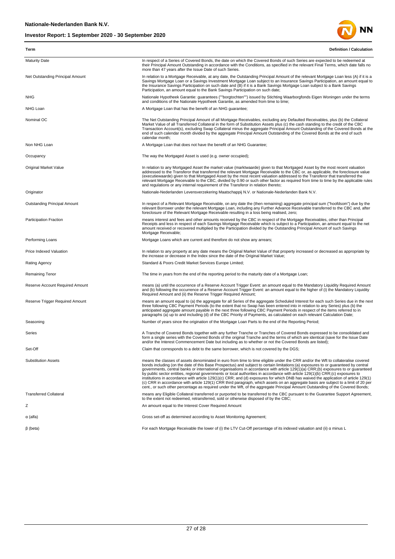

| Term                                | <b>Definition / Calculation</b>                                                                                                                                                                                                                                                                                                                                                                                                                                                                                                                                                                                                                                                                                                                                                                                                                                                                                                                              |
|-------------------------------------|--------------------------------------------------------------------------------------------------------------------------------------------------------------------------------------------------------------------------------------------------------------------------------------------------------------------------------------------------------------------------------------------------------------------------------------------------------------------------------------------------------------------------------------------------------------------------------------------------------------------------------------------------------------------------------------------------------------------------------------------------------------------------------------------------------------------------------------------------------------------------------------------------------------------------------------------------------------|
| <b>Maturity Date</b>                | In respect of a Series of Covered Bonds, the date on which the Covered Bonds of such Series are expected to be redeemed at<br>their Principal Amount Outstanding in accordance with the Conditions, as specified in the relevant Final Terms, which date falls no<br>more than 47 years after the Issue Date of such Series.                                                                                                                                                                                                                                                                                                                                                                                                                                                                                                                                                                                                                                 |
| Net Outstanding Principal Amount    | In relation to a Mortgage Receivable, at any date, the Outstanding Principal Amount of the relevant Mortgage Loan less (A) if it is a<br>Savings Mortgage Loan or a Savings Investment Mortgage Loan subject to an Insurance Savings Participation, an amount equal to<br>the Insurance Savings Participation on such date and (B) if it is a Bank Savings Mortgage Loan subject to a Bank Savings<br>Participation, an amount equal to the Bank Savings Participation on such date;                                                                                                                                                                                                                                                                                                                                                                                                                                                                         |
| <b>NHG</b>                          | Nationale Hypotheek Garantie: guarantees (""borgtochten"") issued by Stichting Waarborgfonds Eigen Woningen under the terms<br>and conditions of the Nationale Hypotheek Garantie, as amended from time to time;                                                                                                                                                                                                                                                                                                                                                                                                                                                                                                                                                                                                                                                                                                                                             |
| NHG Loan                            | A Mortgage Loan that has the benefit of an NHG guarantee;                                                                                                                                                                                                                                                                                                                                                                                                                                                                                                                                                                                                                                                                                                                                                                                                                                                                                                    |
| Nominal OC                          | The Net Outstanding Principal Amount of all Mortgage Receivables, excluding any Defaulted Receivables, plus (b) the Collateral<br>Market Value of all Transferred Collateral in the form of Substitution Assets plus (c) the cash standing to the credit of the CBC<br>Transaction Account(s), excluding Swap Collateral minus the aggregate Principal Amount Outstanding of the Covered Bonds at the<br>end of such calendar month divided by the aggregate Principal Amount Outstanding of the Covered Bonds at the end of such<br>calendar month;                                                                                                                                                                                                                                                                                                                                                                                                         |
| Non NHG Loan                        | A Mortgage Loan that does not have the benefit of an NHG Guarantee;                                                                                                                                                                                                                                                                                                                                                                                                                                                                                                                                                                                                                                                                                                                                                                                                                                                                                          |
| Occupancy                           | The way the Mortgaged Asset is used (e.g. owner occupied);                                                                                                                                                                                                                                                                                                                                                                                                                                                                                                                                                                                                                                                                                                                                                                                                                                                                                                   |
| Original Market Value               | In relation to any Mortgaged Asset the market value (marktwaarde) given to that Mortgaged Asset by the most recent valuation<br>addressed to the Transferor that transferred the relevant Mortgage Receivable to the CBC or, as applicable, the foreclosure value<br>(executiewaarde) given to that Mortgaged Asset by the most recent valuation addressed to the Transferor that transferred the<br>relevant Mortgage Receivable to the CBC, divided by 0.90 or such other factor as required from time to time by the applicable rules<br>and requlations or any internal requirement of the Transferor in relation thereto;                                                                                                                                                                                                                                                                                                                               |
| Originator                          | Nationale-Nederlanden Levensverzekering Maatschappij N.V. or Nationale-Nederlanden Bank N.V.                                                                                                                                                                                                                                                                                                                                                                                                                                                                                                                                                                                                                                                                                                                                                                                                                                                                 |
| <b>Outstanding Principal Amount</b> | In respect of a Relevant Mortgage Receivable, on any date the (then remaining) aggregate principal sum ("hoofdsom") due by the<br>relevant Borrower under the relevant Mortgage Loan, including any Further Advance Receivable transferred to the CBC and, after<br>foreclosure of the Relevant Mortgage Receivable resulting in a loss being realised, zero;                                                                                                                                                                                                                                                                                                                                                                                                                                                                                                                                                                                                |
| Participation Fraction              | means interest and fees and other amounts received by the CBC in respect of the Mortgage Receivables, other than Principal<br>Receipts and less in respect of each Savings Mortgage Receivable which is subject to a Participation, an amount equal to the net<br>amount received or recovered multiplied by the Participation divided by the Outstanding Principal Amount of such Savings<br>Mortgage Receivable;                                                                                                                                                                                                                                                                                                                                                                                                                                                                                                                                           |
| Performing Loans                    | Mortgage Loans which are current and therefore do not show any arrears;                                                                                                                                                                                                                                                                                                                                                                                                                                                                                                                                                                                                                                                                                                                                                                                                                                                                                      |
| Price Indexed Valuation             | In relation to any property at any date means the Original Market Value of that property increased or decreased as appropriate by<br>the increase or decrease in the Index since the date of the Original Market Value;                                                                                                                                                                                                                                                                                                                                                                                                                                                                                                                                                                                                                                                                                                                                      |
| Rating Agency                       | Standard & Poors Credit Market Services Europe Limited;                                                                                                                                                                                                                                                                                                                                                                                                                                                                                                                                                                                                                                                                                                                                                                                                                                                                                                      |
| <b>Remaining Tenor</b>              | The time in years from the end of the reporting period to the maturity date of a Mortgage Loan;                                                                                                                                                                                                                                                                                                                                                                                                                                                                                                                                                                                                                                                                                                                                                                                                                                                              |
| Reserve Account Required Amount     | means (a) until the occurrence of a Reserve Account Trigger Event: an amount equal to the Mandatory Liquidity Required Amount<br>and (b) following the occurrence of a Reserve Account Trigger Event: an amount equal to the higher of (i) the Mandatory Liquidity<br>Required Amount and (ii) the Reserve Trigger Required Amount;                                                                                                                                                                                                                                                                                                                                                                                                                                                                                                                                                                                                                          |
| Reserve Trigger Required Amount     | means an amount equal to (a) the aggregate for all Series of the aggregate Scheduled Interest for each such Series due in the next<br>three following CBC Payment Periods (to the extent that no Swap has been entered into in relation to any Series) plus (b) the<br>anticipated aggregate amount payable in the next three following CBC Payment Periods in respect of the items referred to in<br>paragraphs (a) up to and including (d) of the CBC Priority of Payments, as calculated on each relevant Calculation Date;                                                                                                                                                                                                                                                                                                                                                                                                                               |
| Seasoning                           | Number of years since the origination of the Mortgage Loan Parts to the end of the Reporting Period;                                                                                                                                                                                                                                                                                                                                                                                                                                                                                                                                                                                                                                                                                                                                                                                                                                                         |
| Series                              | A Tranche of Covered Bonds together with any further Tranche or Tranches of Covered Bonds expressed to be consolidated and<br>form a single series with the Covered Bonds of the original Tranche and the terms of which are identical (save for the Issue Date<br>and/or the Interest Commencement Date but including as to whether or not the Covered Bonds are listed)                                                                                                                                                                                                                                                                                                                                                                                                                                                                                                                                                                                    |
| Set-Off                             | Claim that corresponds to a debt to the same borrower, which is not covered by the DGS;                                                                                                                                                                                                                                                                                                                                                                                                                                                                                                                                                                                                                                                                                                                                                                                                                                                                      |
| <b>Substitution Assets</b>          | means the classes of assets denominated in euro from time to time eligible under the CRR and/or the Wft to collateralise covered<br>bonds including (on the date of this Base Prospectus) and subject to certain limitations:(a) exposures to or quaranteed by central<br>governments, central banks or international organisations in accordance with article 129(1)(a) CRR;(b) exposures to or guaranteed<br>by public sector entities, regional governments or local authorities in accordance with article 129(1)(b) CRR;(c) exposures to<br>institutions in accordance with article 129(1)(c) CRR; and (d) exposures for which DNB has waived the application of article 129(1)<br>(c) CRR in accordance with article 129(1) CRR third paragraph, which assets on an aggregate basis are subject to a limit of 20 per<br>cent., or such other percentage as required under the Wft, of the aggregate Principal Amount Outstanding of the Covered Bonds; |
| <b>Transferred Collateral</b>       | means any Eligible Collateral transferred or purported to be transferred to the CBC pursuant to the Guarantee Support Agreement,<br>to the extent not redeemed, retransferred, sold or otherwise disposed of by the CBC;                                                                                                                                                                                                                                                                                                                                                                                                                                                                                                                                                                                                                                                                                                                                     |
| Ζ                                   | An amount equal to the Interest Cover Required Amount                                                                                                                                                                                                                                                                                                                                                                                                                                                                                                                                                                                                                                                                                                                                                                                                                                                                                                        |
| α (alfa)                            | Gross set-off as determined according to Asset Monitoring Agreement;                                                                                                                                                                                                                                                                                                                                                                                                                                                                                                                                                                                                                                                                                                                                                                                                                                                                                         |
| $\beta$ (beta)                      | For each Mortgage Receivable the lower of (i) the LTV Cut-Off percentage of its indexed valuation and (ii) $\alpha$ minus L                                                                                                                                                                                                                                                                                                                                                                                                                                                                                                                                                                                                                                                                                                                                                                                                                                  |